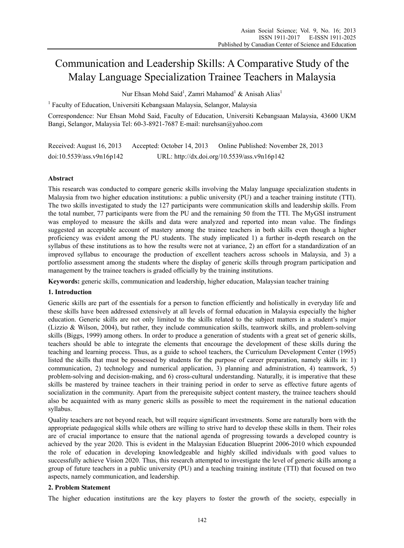# Communication and Leadership Skills: A Comparative Study of the Malay Language Specialization Trainee Teachers in Malaysia

Nur Ehsan Mohd Said<sup>1</sup>, Zamri Mahamod<sup>1</sup> & Anisah Alias<sup>1</sup>

<sup>1</sup> Faculty of Education, Universiti Kebangsaan Malaysia, Selangor, Malaysia

Correspondence: Nur Ehsan Mohd Said, Faculty of Education, Universiti Kebangsaan Malaysia, 43600 UKM Bangi, Selangor, Malaysia Tel: 60-3-8921-7687 E-mail: nurehsan@yahoo.com

Received: August 16, 2013 Accepted: October 14, 2013 Online Published: November 28, 2013 doi:10.5539/ass.v9n16p142 URL: http://dx.doi.org/10.5539/ass.v9n16p142

# **Abstract**

This research was conducted to compare generic skills involving the Malay language specialization students in Malaysia from two higher education institutions: a public university (PU) and a teacher training institute (TTI). The two skills investigated to study the 127 participants were communication skills and leadership skills. From the total number, 77 participants were from the PU and the remaining 50 from the TTI. The MyGSI instrument was employed to measure the skills and data were analyzed and reported into mean value. The findings suggested an acceptable account of mastery among the trainee teachers in both skills even though a higher proficiency was evident among the PU students. The study implicated 1) a further in-depth research on the syllabus of these institutions as to how the results were not at variance, 2) an effort for a standardization of an improved syllabus to encourage the production of excellent teachers across schools in Malaysia, and 3) a portfolio assessment among the students where the display of generic skills through program participation and management by the trainee teachers is graded officially by the training institutions.

**Keywords:** generic skills, communication and leadership, higher education, Malaysian teacher training

## **1. Introduction**

Generic skills are part of the essentials for a person to function efficiently and holistically in everyday life and these skills have been addressed extensively at all levels of formal education in Malaysia especially the higher education. Generic skills are not only limited to the skills related to the subject matters in a student's major (Lizzio & Wilson, 2004), but rather, they include communication skills, teamwork skills, and problem-solving skills (Biggs, 1999) among others. In order to produce a generation of students with a great set of generic skills, teachers should be able to integrate the elements that encourage the development of these skills during the teaching and learning process. Thus, as a guide to school teachers, the Curriculum Development Center (1995) listed the skills that must be possessed by students for the purpose of career preparation, namely skills in: 1) communication, 2) technology and numerical application, 3) planning and administration, 4) teamwork, 5) problem-solving and decision-making, and 6) cross-cultural understanding. Naturally, it is imperative that these skills be mastered by trainee teachers in their training period in order to serve as effective future agents of socialization in the community. Apart from the prerequisite subject content mastery, the trainee teachers should also be acquainted with as many generic skills as possible to meet the requirement in the national education syllabus.

Quality teachers are not beyond reach, but will require significant investments. Some are naturally born with the appropriate pedagogical skills while others are willing to strive hard to develop these skills in them. Their roles are of crucial importance to ensure that the national agenda of progressing towards a developed country is achieved by the year 2020. This is evident in the Malaysian Education Blueprint 2006-2010 which expounded the role of education in developing knowledgeable and highly skilled individuals with good values to successfully achieve Vision 2020. Thus, this research attempted to investigate the level of generic skills among a group of future teachers in a public university (PU) and a teaching training institute (TTI) that focused on two aspects, namely communication, and leadership.

## **2. Problem Statement**

The higher education institutions are the key players to foster the growth of the society, especially in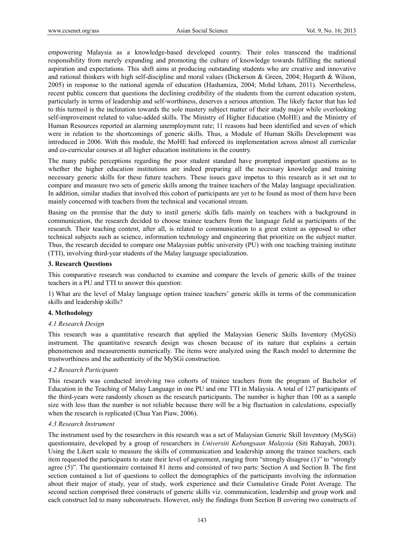empowering Malaysia as a knowledge-based developed country. Their roles transcend the traditional responsibility from merely expanding and promoting the culture of knowledge towards fulfilling the national aspiration and expectations. This shift aims at producing outstanding students who are creative and innovative and rational thinkers with high self-discipline and moral values (Dickerson & Green, 2004; Hogarth & Wilson, 2005) in response to the national agenda of education (Hashamiza, 2004; Mohd Izham, 2011). Nevertheless, recent public concern that questions the declining credibility of the students from the current education system, particularly in terms of leadership and self-worthiness, deserves a serious attention. The likely factor that has led to this turmoil is the inclination towards the sole mastery subject matter of their study major while overlooking self-improvement related to value-added skills. The Ministry of Higher Education (MoHE) and the Ministry of Human Resources reported an alarming unemployment rate; 11 reasons had been identified and seven of which were in relation to the shortcomings of generic skills. Thus, a Module of Human Skills Development was introduced in 2006. With this module, the MoHE had enforced its implementation across almost all curricular and co-curricular courses at all higher education institutions in the country.

The many public perceptions regarding the poor student standard have prompted important questions as to whether the higher education institutions are indeed preparing all the necessary knowledge and training necessary generic skills for these future teachers. These issues gave impetus to this research as it set out to compare and measure two sets of generic skills among the trainee teachers of the Malay language specialization. In addition, similar studies that involved this cohort of participants are yet to be found as most of them have been mainly concerned with teachers from the technical and vocational stream.

Basing on the premise that the duty to instil generic skills falls mainly on teachers with a background in communication, the research decided to choose trainee teachers from the language field as participants of the research. Their teaching content, after all, is related to communication to a great extent as opposed to other technical subjects such as science, information technology and engineering that prioritize on the subject matter. Thus, the research decided to compare one Malaysian public university (PU) with one teaching training institute (TTI), involving third-year students of the Malay language specialization.

## **3. Research Questions**

This comparative research was conducted to examine and compare the levels of generic skills of the trainee teachers in a PU and TTI to answer this question:

1) What are the level of Malay language option trainee teachers' generic skills in terms of the communication skills and leadership skills?

## **4. Methodology**

## *4.1 Research Design*

This research was a quantitative research that applied the Malaysian Generic Skills Inventory (MyGSi) instrument. The quantitative research design was chosen because of its nature that explains a certain phenomenon and measurements numerically. The items were analyzed using the Rasch model to determine the trustworthiness and the authenticity of the MySGi construction.

## *4.2 Research Participants*

This research was conducted involving two cohorts of trainee teachers from the program of Bachelor of Education in the Teaching of Malay Language in one PU and one TTI in Malaysia. A total of 127 participants of the third-years were randomly chosen as the research participants. The number is higher than 100 as a sample size with less than the number is not reliable because there will be a big fluctuation in calculations, especially when the research is replicated (Chua Yan Piaw, 2006).

## *4.3 Research Instrument*

The instrument used by the researchers in this research was a set of Malaysian Generic Skill Inventory (MySGi) questionnaire, developed by a group of researchers in *Universiti Kebangsaan Malaysia* (Siti Rahayah, 2003). Using the Likert scale to measure the skills of communication and leadership among the trainee teachers, each item requested the participants to state their level of agreement, ranging from "strongly disagree (1)" to "strongly agree (5)". The questionnaire contained 81 items and consisted of two parts: Section A and Section B. The first section contained a list of questions to collect the demographics of the participants involving the information about their major of study, year of study, work experience and their Cumulative Grade Point Average. The second section comprised three constructs of generic skills viz. communication, leadership and group work and each construct led to many subconstructs. However, only the findings from Section B covering two constructs of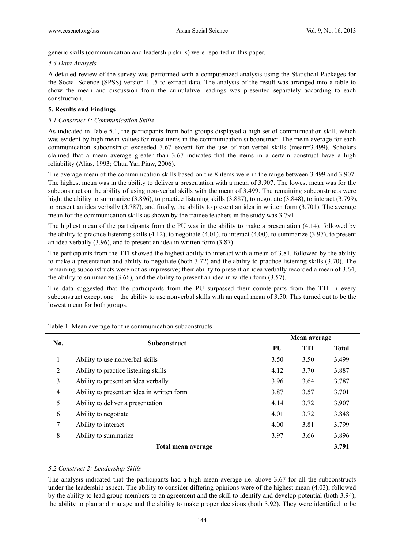generic skills (communication and leadership skills) were reported in this paper.

#### *4.4 Data Analysis*

A detailed review of the survey was performed with a computerized analysis using the Statistical Packages for the Social Science (SPSS) version 11.5 to extract data. The analysis of the result was arranged into a table to show the mean and discussion from the cumulative readings was presented separately according to each construction.

## **5. Results and Findings**

## *5.1 Construct 1: Communication Skills*

As indicated in Table 5.1, the participants from both groups displayed a high set of communication skill, which was evident by high mean values for most items in the communication subconstruct. The mean average for each communication subconstruct exceeded 3.67 except for the use of non-verbal skills (mean=3.499). Scholars claimed that a mean average greater than 3.67 indicates that the items in a certain construct have a high reliability (Alias, 1993; Chua Yan Piaw, 2006).

The average mean of the communication skills based on the 8 items were in the range between 3.499 and 3.907. The highest mean was in the ability to deliver a presentation with a mean of 3.907. The lowest mean was for the subconstruct on the ability of using non-verbal skills with the mean of 3.499. The remaining subconstructs were high: the ability to summarize (3.896), to practice listening skills (3.887), to negotiate (3.848), to interact (3.799), to present an idea verbally (3.787), and finally, the ability to present an idea in written form (3.701). The average mean for the communication skills as shown by the trainee teachers in the study was 3.791.

The highest mean of the participants from the PU was in the ability to make a presentation (4.14), followed by the ability to practice listening skills  $(4.12)$ , to negotiate  $(4.01)$ , to interact  $(4.00)$ , to summarize  $(3.97)$ , to present an idea verbally (3.96), and to present an idea in written form (3.87).

The participants from the TTI showed the highest ability to interact with a mean of 3.81, followed by the ability to make a presentation and ability to negotiate (both 3.72) and the ability to practice listening skills (3.70). The remaining subconstructs were not as impressive; their ability to present an idea verbally recorded a mean of 3.64, the ability to summarize  $(3.66)$ , and the ability to present an idea in written form  $(3.57)$ .

The data suggested that the participants from the PU surpassed their counterparts from the TTI in every subconstruct except one – the ability to use nonverbal skills with an equal mean of 3.50. This turned out to be the lowest mean for both groups.

| No.            | <b>Subconstruct</b>                        |      | Mean average |              |  |
|----------------|--------------------------------------------|------|--------------|--------------|--|
|                |                                            | PU   | <b>TTI</b>   | <b>Total</b> |  |
|                | Ability to use nonverbal skills            | 3.50 | 3.50         | 3.499        |  |
| 2              | Ability to practice listening skills       | 4.12 | 3.70         | 3.887        |  |
| 3              | Ability to present an idea verbally        | 3.96 | 3.64         | 3.787        |  |
| $\overline{4}$ | Ability to present an idea in written form | 3.87 | 3.57         | 3.701        |  |
| 5              | Ability to deliver a presentation          | 4.14 | 3.72         | 3.907        |  |
| 6              | Ability to negotiate                       | 4.01 | 3.72         | 3.848        |  |
| 7              | Ability to interact                        | 4.00 | 3.81         | 3.799        |  |
| 8              | Ability to summarize                       | 3.97 | 3.66         | 3.896        |  |
|                | Total mean average                         |      |              | 3.791        |  |

Table 1. Mean average for the communication subconstructs

## *5.2 Construct 2: Leadership Skills*

The analysis indicated that the participants had a high mean average i.e. above 3.67 for all the subconstructs under the leadership aspect. The ability to consider differing opinions were of the highest mean (4.03), followed by the ability to lead group members to an agreement and the skill to identify and develop potential (both 3.94), the ability to plan and manage and the ability to make proper decisions (both 3.92). They were identified to be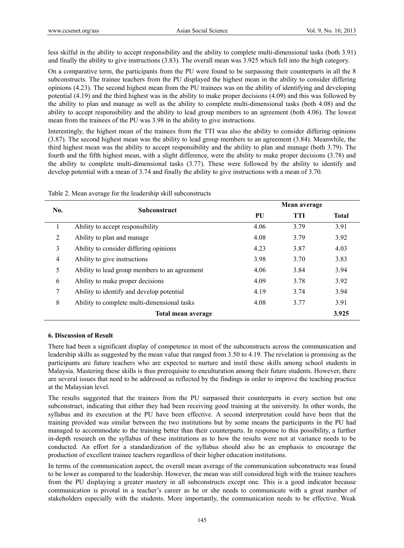less skilful in the ability to accept responsibility and the ability to complete multi-dimensional tasks (both 3.91) and finally the ability to give instructions (3.83). The overall mean was 3.925 which fell into the high category.

On a comparative term, the participants from the PU were found to be surpassing their counterparts in all the 8 subconstructs. The trainee teachers from the PU displayed the highest mean in the ability to consider differing opinions (4.23). The second highest mean from the PU trainees was on the ability of identifying and developing potential (4.19) and the third highest was in the ability to make proper decisions (4.09) and this was followed by the ability to plan and manage as well as the ability to complete multi-dimensional tasks (both 4.08) and the ability to accept responsibility and the ability to lead group members to an agreement (both 4.06). The lowest mean from the trainees of the PU was 3.98 in the ability to give instructions.

Interestingly, the highest mean of the trainees from the TTI was also the ability to consider differing opinions (3.87). The second highest mean was the ability to lead group members to an agreement (3.84). Meanwhile, the third highest mean was the ability to accept responsibility and the ability to plan and manage (both 3.79). The fourth and the fifth highest mean, with a slight difference, were the ability to make proper decisions (3.78) and the ability to complete multi-dimensional tasks (3.77). These were followed by the ability to identify and develop potential with a mean of 3.74 and finally the ability to give instructions with a mean of 3.70.

| No.            | <b>Subconstruct</b>                           |      | Mean average |              |  |
|----------------|-----------------------------------------------|------|--------------|--------------|--|
|                |                                               | PU   | TTI          | <b>Total</b> |  |
|                | Ability to accept responsibility              | 4.06 | 3.79         | 3.91         |  |
| 2              | Ability to plan and manage                    | 4.08 | 3.79         | 3.92         |  |
| 3              | Ability to consider differing opinions        | 4.23 | 3.87         | 4.03         |  |
| $\overline{4}$ | Ability to give instructions                  | 3.98 | 3.70         | 3.83         |  |
| 5              | Ability to lead group members to an agreement | 4.06 | 3.84         | 3.94         |  |
| 6              | Ability to make proper decisions              | 4.09 | 3.78         | 3.92         |  |
| 7              | Ability to identify and develop potential     | 4.19 | 3.74         | 3.94         |  |
| 8              | Ability to complete multi-dimensional tasks   | 4.08 | 3.77         | 3.91         |  |
|                | Total mean average                            |      |              | 3.925        |  |

Table 2. Mean average for the leadership skill subconstructs

# **6. Discussion of Result**

There had been a significant display of competence in most of the subconstructs across the communication and leadership skills as suggested by the mean value that ranged from 3.50 to 4.19. The revelation is promising as the participants are future teachers who are expected to nurture and instil these skills among school students in Malaysia. Mastering these skills is thus prerequisite to enculturation among their future students. However, there are several issues that need to be addressed as reflected by the findings in order to improve the teaching practice at the Malaysian level.

The results suggested that the trainees from the PU surpassed their counterparts in every section but one subconstruct, indicating that either they had been receiving good training at the university. In other words, the syllabus and its execution at the PU have been effective. A second interpretation could have been that the training provided was similar between the two institutions but by some means the participants in the PU had managed to accommodate to the training better than their counterparts. In response to this possibility, a further in-depth research on the syllabus of these institutions as to how the results were not at variance needs to be conducted. An effort for a standardization of the syllabus should also be an emphasis to encourage the production of excellent trainee teachers regardless of their higher education institutions.

In terms of the communication aspect, the overall mean average of the communication subconstructs was found to be lower as compared to the leadership. However, the mean was still considered high with the trainee teachers from the PU displaying a greater mastery in all subconstructs except one. This is a good indicator because communication is pivotal in a teacher's career as he or she needs to communicate with a great number of stakeholders especially with the students. More importantly, the communication needs to be effective. Weak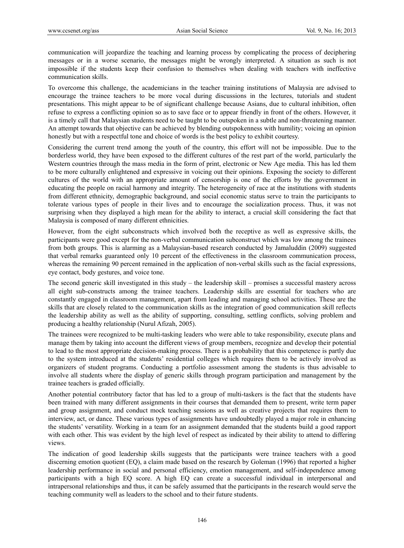communication will jeopardize the teaching and learning process by complicating the process of deciphering messages or in a worse scenario, the messages might be wrongly interpreted. A situation as such is not impossible if the students keep their confusion to themselves when dealing with teachers with ineffective communication skills.

To overcome this challenge, the academicians in the teacher training institutions of Malaysia are advised to encourage the trainee teachers to be more vocal during discussions in the lectures, tutorials and student presentations. This might appear to be of significant challenge because Asians, due to cultural inhibition, often refuse to express a conflicting opinion so as to save face or to appear friendly in front of the others. However, it is a timely call that Malaysian students need to be taught to be outspoken in a subtle and non-threatening manner. An attempt towards that objective can be achieved by blending outspokenness with humility; voicing an opinion honestly but with a respectful tone and choice of words is the best policy to exhibit courtesy.

Considering the current trend among the youth of the country, this effort will not be impossible. Due to the borderless world, they have been exposed to the different cultures of the rest part of the world, particularly the Western countries through the mass media in the form of print, electronic or New Age media. This has led them to be more culturally enlightened and expressive in voicing out their opinions. Exposing the society to different cultures of the world with an appropriate amount of censorship is one of the efforts by the government in educating the people on racial harmony and integrity. The heterogeneity of race at the institutions with students from different ethnicity, demographic background, and social economic status serve to train the participants to tolerate various types of people in their lives and to encourage the socialization process. Thus, it was not surprising when they displayed a high mean for the ability to interact, a crucial skill considering the fact that Malaysia is composed of many different ethnicities.

However, from the eight subconstructs which involved both the receptive as well as expressive skills, the participants were good except for the non-verbal communication subconstruct which was low among the trainees from both groups. This is alarming as a Malaysian-based research conducted by Jamaluddin (2009) suggested that verbal remarks guaranteed only 10 percent of the effectiveness in the classroom communication process, whereas the remaining 90 percent remained in the application of non-verbal skills such as the facial expressions, eye contact, body gestures, and voice tone.

The second generic skill investigated in this study – the leadership skill – promises a successful mastery across all eight sub-constructs among the trainee teachers. Leadership skills are essential for teachers who are constantly engaged in classroom management, apart from leading and managing school activities. These are the skills that are closely related to the communication skills as the integration of good communication skill reflects the leadership ability as well as the ability of supporting, consulting, settling conflicts, solving problem and producing a healthy relationship (Nurul Afizah, 2005).

The trainees were recognized to be multi-tasking leaders who were able to take responsibility, execute plans and manage them by taking into account the different views of group members, recognize and develop their potential to lead to the most appropriate decision-making process. There is a probability that this competence is partly due to the system introduced at the students' residential colleges which requires them to be actively involved as organizers of student programs. Conducting a portfolio assessment among the students is thus advisable to involve all students where the display of generic skills through program participation and management by the trainee teachers is graded officially.

Another potential contributory factor that has led to a group of multi-taskers is the fact that the students have been trained with many different assignments in their courses that demanded them to present, write term paper and group assignment, and conduct mock teaching sessions as well as creative projects that requires them to interview, act, or dance. These various types of assignments have undoubtedly played a major role in enhancing the students' versatility. Working in a team for an assignment demanded that the students build a good rapport with each other. This was evident by the high level of respect as indicated by their ability to attend to differing views.

The indication of good leadership skills suggests that the participants were trainee teachers with a good discerning emotion quotient (EQ), a claim made based on the research by Goleman (1996) that reported a higher leadership performance in social and personal efficiency, emotion management, and self-independence among participants with a high EQ score. A high EQ can create a successful individual in interpersonal and intrapersonal relationships and thus, it can be safely assumed that the participants in the research would serve the teaching community well as leaders to the school and to their future students.